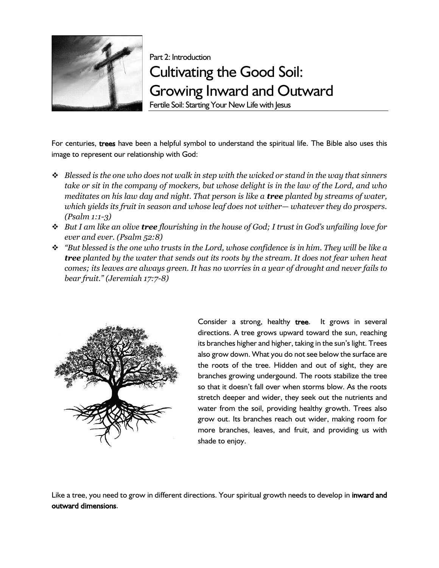

Part 2: Introduction Cultivating the Good Soil: Growing Inward and Outward

Fertile Soil: Starting Your New Life with Jesus

For centuries, trees have been a helpful symbol to understand the spiritual life. The Bible also uses this image to represent our relationship with God:

- ❖ *Blessed is the one who does not walk in step with the wicked or stand in the way that sinners take or sit in the company of mockers, but whose delight is in the law of the Lord, and who meditates on his law day and night. That person is like a tree planted by streams of water, which yields its fruit in season and whose leaf does not wither— whatever they do prospers. (Psalm 1:1-3)*
- ❖ *But I am like an olive tree flourishing in the house of God; I trust in God's unfailing love for ever and ever. (Psalm 52:8)*
- ❖ *"But blessed is the one who trusts in the Lord, whose confidence is in him. They will be like a tree planted by the water that sends out its roots by the stream. It does not fear when heat comes; its leaves are always green. It has no worries in a year of drought and never fails to bear fruit." (Jeremiah 17:7-8)*



Consider a strong, healthy tree. It grows in several directions. A tree grows upward toward the sun, reaching its branches higher and higher, taking in the sun's light. Trees also grow down. What you do not see below the surface are the roots of the tree. Hidden and out of sight, they are branches growing undergound. The roots stabilize the tree so that it doesn't fall over when storms blow. As the roots stretch deeper and wider, they seek out the nutrients and water from the soil, providing healthy growth. Trees also grow out. Its branches reach out wider, making room for more branches, leaves, and fruit, and providing us with shade to enjoy.

Like a tree, you need to grow in different directions. Your spiritual growth needs to develop in inward and outward dimensions.